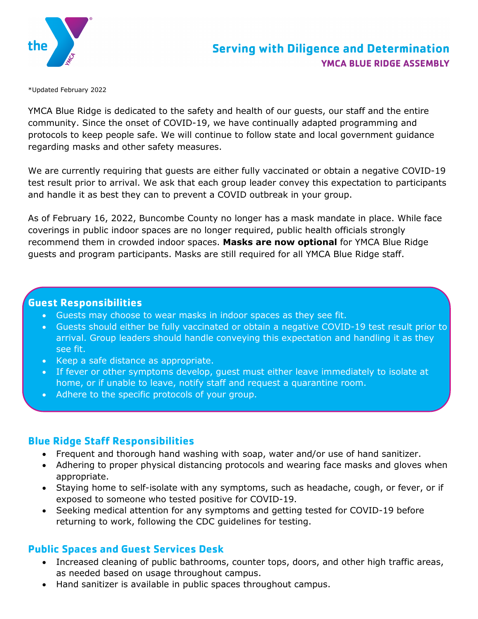

\*Updated February 2022

YMCA Blue Ridge is dedicated to the safety and health of our guests, our staff and the entire community. Since the onset of COVID-19, we have continually adapted programming and protocols to keep people safe. We will continue to follow state and local government guidance regarding masks and other safety measures.

We are currently requiring that guests are either fully vaccinated or obtain a negative COVID-19 test result prior to arrival. We ask that each group leader convey this expectation to participants and handle it as best they can to prevent a COVID outbreak in your group.

As of February 16, 2022, Buncombe County no longer has a mask mandate in place. While face coverings in public indoor spaces are no longer required, public health officials strongly recommend them in crowded indoor spaces. **Masks are now optional** for YMCA Blue Ridge guests and program participants. Masks are still required for all YMCA Blue Ridge staff.

# **Guest Responsibilities**

- Guests may choose to wear masks in indoor spaces as they see fit.
- Guests should either be fully vaccinated or obtain a negative COVID-19 test result prior to arrival. Group leaders should handle conveying this expectation and handling it as they see fit.
- Keep a safe distance as appropriate.
- If fever or other symptoms develop, guest must either leave immediately to isolate at home, or if unable to leave, notify staff and request a quarantine room.
- Adhere to the specific protocols of your group.

# **Blue Ridge Staff Responsibilities**

- Frequent and thorough hand washing with soap, water and/or use of hand sanitizer.
- Adhering to proper physical distancing protocols and wearing face masks and gloves when appropriate.
- Staying home to self-isolate with any symptoms, such as headache, cough, or fever, or if exposed to someone who tested positive for COVID-19.
- Seeking medical attention for any symptoms and getting tested for COVID-19 before returning to work, following the CDC guidelines for testing.

# **Public Spaces and Guest Services Desk**

- Increased cleaning of public bathrooms, counter tops, doors, and other high traffic areas, as needed based on usage throughout campus.
- Hand sanitizer is available in public spaces throughout campus.